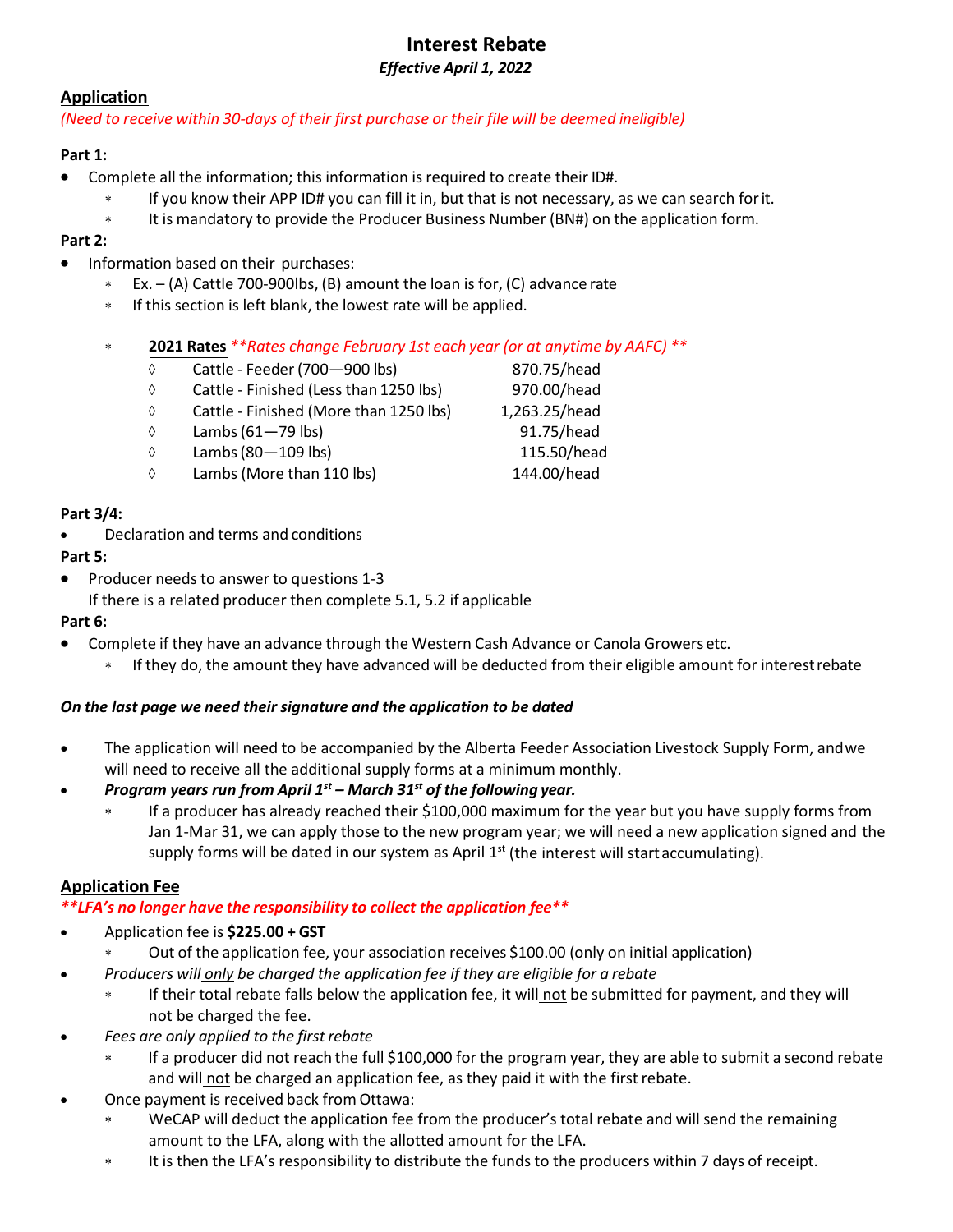## **Interest Rebate** *Effective April 1, 2022*

## **Application**

## *(Need to receive within 30-days of their first purchase or their file will be deemed ineligible)*

## **Part 1:**

- Complete all the information; this information is required to create their ID#.
	- ∗ If you know their APP ID# you can fill it in, but that is not necessary, as we can search forit.
	- ∗ It is mandatory to provide the Producer Business Number (BN#) on the application form.

# **Part 2:**

- Information based on their purchases:
	- ∗ Ex. (A) Cattle 700-900lbs, (B) amount the loan is for, (C) advance rate
	- ∗ If this section is left blank, the lowest rate will be applied.
	- ∗ **2021 Rates** *\*\*Rates change February 1st each year (or at anytime by AAFC) \*\**
		- ◊ Cattle Feeder(700—900 lbs) 870.75/head
		- ◊ Cattle Finished (Less than 1250 lbs) 970.00/head
		- ◊ Cattle Finished (More than 1250 lbs) 1,263.25/head
		- $\Diamond$  Lambs (61-79 lbs) 91.75/head
		- $\Diamond$  Lambs (80 109 lbs) 115.50/head
		- ◊ Lambs (More than 110 lbs) 144.00/head

## **Part 3/4:**

• Declaration and terms and conditions

# **Part 5:**

• Producer needs to answer to questions 1-3 If there is a related producer then complete 5.1, 5.2 if applicable

## **Part 6:**

- Complete if they have an advance through the Western Cash Advance or Canola Growers etc.
	- ∗ If they do, the amount they have advanced will be deducted from their eligible amount for interestrebate

## *On the last page we need their signature and the application to be dated*

- The application will need to be accompanied by the Alberta Feeder Association Livestock Supply Form, andwe will need to receive all the additional supply forms at a minimum monthly.
- *Program years run from April 1st – March 31st of the following year.*
	- If a producer has already reached their \$100,000 maximum for the year but you have supply forms from Jan 1-Mar 31, we can apply those to the new program year; we will need a new application signed and the supply forms will be dated in our system as April  $1<sup>st</sup>$  (the interest will start accumulating).

# **Application Fee**

*\*\*LFA's no longer have the responsibility to collect the application fee\*\**

- Application fee is **\$225.00 + GST**
	- Out of the application fee, your association receives \$100.00 (only on initial application)
- *Producers will only be charged the application fee if they are eligible for a rebate*
	- ∗ If their total rebate falls below the application fee, it will not be submitted for payment, and they will not be charged the fee.
- *Fees are only applied to the firstrebate*
	- ∗ If a producer did not reach the full \$100,000 for the program year, they are able to submit a second rebate and will not be charged an application fee, as they paid it with the first rebate.
- Once payment is received back from Ottawa:
	- ∗ WeCAP will deduct the application fee from the producer's total rebate and will send the remaining amount to the LFA, along with the allotted amount for the LFA.
	- ∗ It is then the LFA's responsibility to distribute the funds to the producers within 7 days of receipt.
- 
-